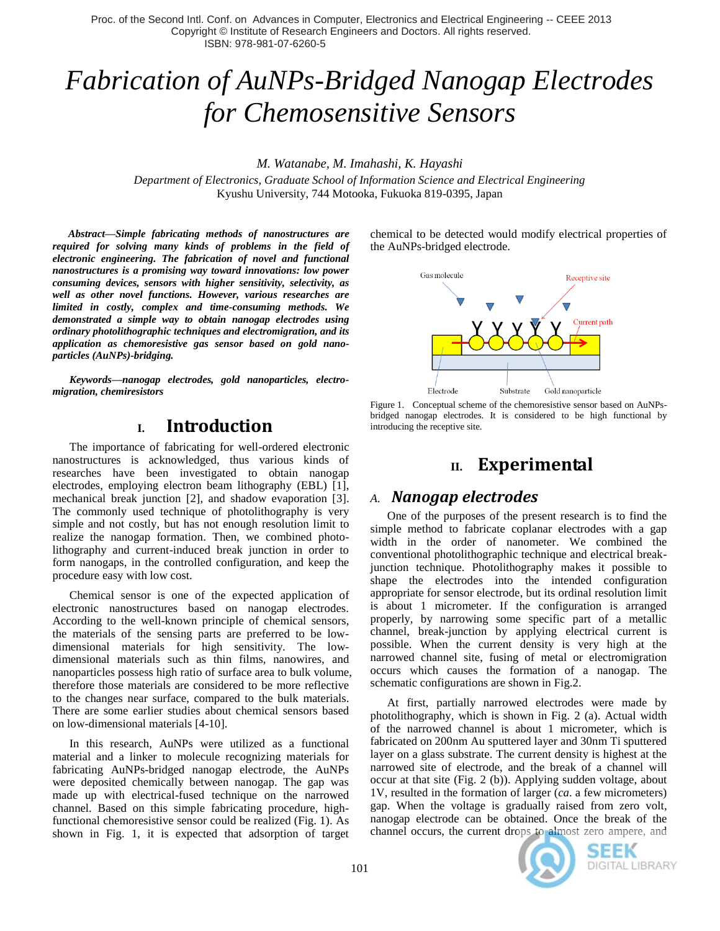Proc. of the Second Intl. Conf. on Advances in Computer, Electronics and Electrical Engineering -- CEEE 2013 Copyright © Institute of Research Engineers and Doctors. All rights reserved. ISBN: 978-981-07-6260-5

# *Fabrication of AuNPs-Bridged Nanogap Electrodes for Chemosensitive Sensors*

*M. Watanabe, M. Imahashi, K. Hayashi*

*Department of Electronics, Graduate School of Information Science and Electrical Engineering* Kyushu University, 744 Motooka, Fukuoka 819-0395, Japan

*Abstract***—***Simple fabricating methods of nanostructures are required for solving many kinds of problems in the field of electronic engineering. The fabrication of novel and functional nanostructures is a promising way toward innovations: low power consuming devices, sensors with higher sensitivity, selectivity, as well as other novel functions. However, various researches are limited in costly, complex and time-consuming methods. We demonstrated a simple way to obtain nanogap electrodes using ordinary photolithographic techniques and electromigration, and its application as chemoresistive gas sensor based on gold nanoparticles (AuNPs)-bridging.* 

*Keywords—nanogap electrodes, gold nanoparticles, electromigration, chemiresistors*

## **I. Introduction**

The importance of fabricating for well-ordered electronic nanostructures is acknowledged, thus various kinds of researches have been investigated to obtain nanogap electrodes, employing electron beam lithography (EBL) [1], mechanical break junction [2], and shadow evaporation [3]. The commonly used technique of photolithography is very simple and not costly, but has not enough resolution limit to realize the nanogap formation. Then, we combined photolithography and current-induced break junction in order to form nanogaps, in the controlled configuration, and keep the procedure easy with low cost.

Chemical sensor is one of the expected application of electronic nanostructures based on nanogap electrodes. According to the well-known principle of chemical sensors, the materials of the sensing parts are preferred to be lowdimensional materials for high sensitivity. The lowdimensional materials such as thin films, nanowires, and nanoparticles possess high ratio of surface area to bulk volume, therefore those materials are considered to be more reflective to the changes near surface, compared to the bulk materials. There are some earlier studies about chemical sensors based on low-dimensional materials [4-10].

In this research, AuNPs were utilized as a functional material and a linker to molecule recognizing materials for fabricating AuNPs-bridged nanogap electrode, the AuNPs were deposited chemically between nanogap. The gap was made up with electrical-fused technique on the narrowed channel. Based on this simple fabricating procedure, highfunctional chemoresistive sensor could be realized (Fig. 1). As shown in Fig. 1, it is expected that adsorption of target chemical to be detected would modify electrical properties of the AuNPs-bridged electrode.



Figure 1. Conceptual scheme of the chemoresistive sensor based on AuNPsbridged nanogap electrodes. It is considered to be high functional by introducing the receptive site.

# **II. Experimental**

## *A. Nanogap electrodes*

One of the purposes of the present research is to find the simple method to fabricate coplanar electrodes with a gap width in the order of nanometer. We combined the conventional photolithographic technique and electrical breakjunction technique. Photolithography makes it possible to shape the electrodes into the intended configuration appropriate for sensor electrode, but its ordinal resolution limit is about 1 micrometer. If the configuration is arranged properly, by narrowing some specific part of a metallic channel, break-junction by applying electrical current is possible. When the current density is very high at the narrowed channel site, fusing of metal or electromigration occurs which causes the formation of a nanogap. The schematic configurations are shown in Fig.2.

At first, partially narrowed electrodes were made by photolithography, which is shown in Fig. 2 (a). Actual width of the narrowed channel is about 1 micrometer, which is fabricated on 200nm Au sputtered layer and 30nm Ti sputtered layer on a glass substrate. The current density is highest at the narrowed site of electrode, and the break of a channel will occur at that site (Fig. 2 (b)). Applying sudden voltage, about 1V, resulted in the formation of larger (*ca*. a few micrometers) gap. When the voltage is gradually raised from zero volt, nanogap electrode can be obtained. Once the break of the channel occurs, the current drops to almost zero ampere, and



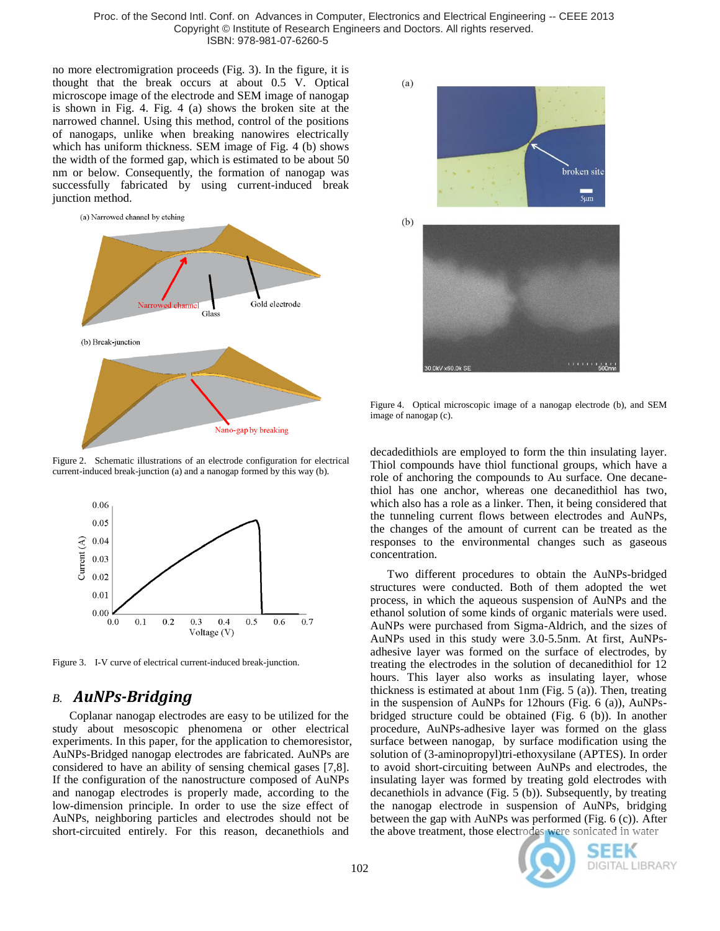Proc. of the Second Intl. Conf. on Advances in Computer, Electronics and Electrical Engineering -- CEEE 2013 Copyright © Institute of Research Engineers and Doctors. All rights reserved. ISBN: 978-981-07-6260-5

no more electromigration proceeds (Fig. 3). In the figure, it is thought that the break occurs at about 0.5 V. Optical microscope image of the electrode and SEM image of nanogap is shown in Fig. 4. Fig. 4 (a) shows the broken site at the narrowed channel. Using this method, control of the positions of nanogaps, unlike when breaking nanowires electrically which has uniform thickness. SEM image of Fig. 4 (b) shows the width of the formed gap, which is estimated to be about 50 nm or below. Consequently, the formation of nanogap was successfully fabricated by using current-induced break junction method.



Figure 2. Schematic illustrations of an electrode configuration for electrical current-induced break-junction (a) and a nanogap formed by this way (b).



Figure 3. I-V curve of electrical current-induced break-junction.

## *B. AuNPs-Bridging*

Coplanar nanogap electrodes are easy to be utilized for the study about mesoscopic phenomena or other electrical experiments. In this paper, for the application to chemoresistor, AuNPs-Bridged nanogap electrodes are fabricated. AuNPs are considered to have an ability of sensing chemical gases [7,8]. If the configuration of the nanostructure composed of AuNPs and nanogap electrodes is properly made, according to the low-dimension principle. In order to use the size effect of AuNPs, neighboring particles and electrodes should not be short-circuited entirely. For this reason, decanethiols and



Figure 4. Optical microscopic image of a nanogap electrode (b), and SEM image of nanogap (c).

decadedithiols are employed to form the thin insulating layer. Thiol compounds have thiol functional groups, which have a role of anchoring the compounds to Au surface. One decanethiol has one anchor, whereas one decanedithiol has two, which also has a role as a linker. Then, it being considered that the tunneling current flows between electrodes and AuNPs, the changes of the amount of current can be treated as the responses to the environmental changes such as gaseous concentration.

Two different procedures to obtain the AuNPs-bridged structures were conducted. Both of them adopted the wet process, in which the aqueous suspension of AuNPs and the ethanol solution of some kinds of organic materials were used. AuNPs were purchased from Sigma-Aldrich, and the sizes of AuNPs used in this study were 3.0-5.5nm. At first, AuNPsadhesive layer was formed on the surface of electrodes, by treating the electrodes in the solution of decanedithiol for 12 hours. This layer also works as insulating layer, whose thickness is estimated at about 1nm (Fig. 5 (a)). Then, treating in the suspension of AuNPs for 12hours (Fig. 6 (a)), AuNPsbridged structure could be obtained (Fig. 6 (b)). In another procedure, AuNPs-adhesive layer was formed on the glass surface between nanogap, by surface modification using the solution of (3-aminopropyl)tri-ethoxysilane (APTES). In order to avoid short-circuiting between AuNPs and electrodes, the insulating layer was formed by treating gold electrodes with decanethiols in advance (Fig. 5 (b)). Subsequently, by treating the nanogap electrode in suspension of AuNPs, bridging between the gap with AuNPs was performed (Fig. 6 (c)). After the above treatment, those electrodes were sonicated in water



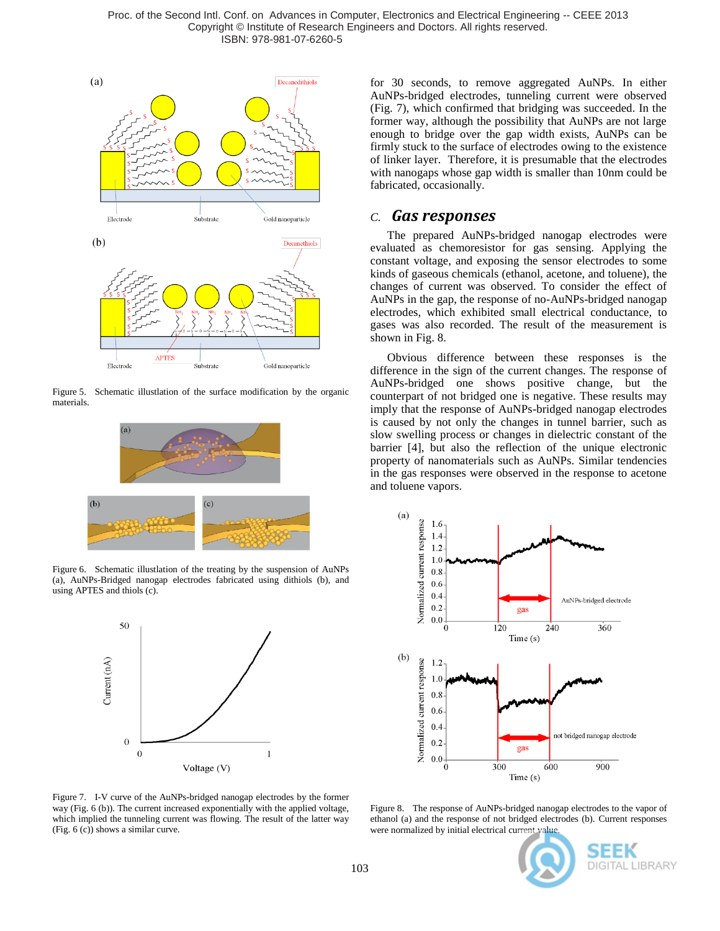

Figure 5. Schematic illustlation of the surface modification by the organic materials.



Figure 6. Schematic illustlation of the treating by the suspension of AuNPs (a), AuNPs-Bridged nanogap electrodes fabricated using dithiols (b), and using APTES and thiols (c).



for 30 seconds, to remove aggregated AuNPs. In either AuNPs-bridged electrodes, tunneling current were observed (Fig. 7), which confirmed that bridging was succeeded. In the former way, although the possibility that AuNPs are not large enough to bridge over the gap width exists, AuNPs can be firmly stuck to the surface of electrodes owing to the existence of linker layer. Therefore, it is presumable that the electrodes with nanogaps whose gap width is smaller than 10nm could be fabricated, occasionally.

#### *C. Gas responses*

The prepared AuNPs-bridged nanogap electrodes were evaluated as chemoresistor for gas sensing. Applying the constant voltage, and exposing the sensor electrodes to some kinds of gaseous chemicals (ethanol, acetone, and toluene), the changes of current was observed. To consider the effect of AuNPs in the gap, the response of no-AuNPs-bridged nanogap electrodes, which exhibited small electrical conductance, to gases was also recorded. The result of the measurement is shown in Fig. 8.

Obvious difference between these responses is the difference in the sign of the current changes. The response of AuNPs-bridged one shows positive change, but the counterpart of not bridged one is negative. These results may imply that the response of AuNPs-bridged nanogap electrodes is caused by not only the changes in tunnel barrier, such as slow swelling process or changes in dielectric constant of the barrier [4], but also the reflection of the unique electronic property of nanomaterials such as AuNPs. Similar tendencies in the gas responses were observed in the response to acetone and toluene vapors.



Figure 7. I-V curve of the AuNPs-bridged nanogap electrodes by the former way (Fig. 6 (b)). The current increased exponentially with the applied voltage, which implied the tunneling current was flowing. The result of the latter way (Fig. 6 (c)) shows a similar curve.

Figure 8. The response of AuNPs-bridged nanogap electrodes to the vapor of ethanol (a) and the response of not bridged electrodes (b). Current responses were normalized by initial electrical current value.